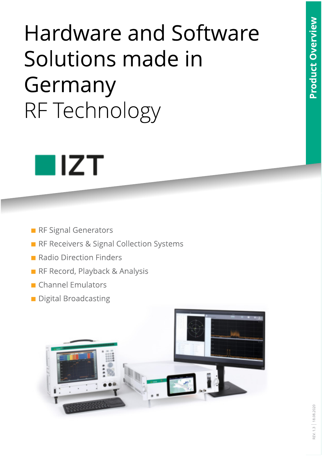# **Hardware and Software** Solutions made in Germany RF Technology



- RF Signal Generators
- RF Receivers & Signal Collection Systems
- Radio Direction Finders
- RF Record, Playback & Analysis
- Channel Emulators
- Digital Broadcasting

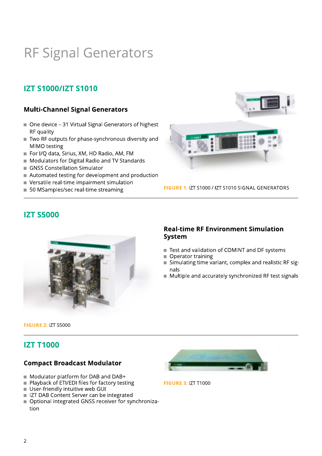## RF Signal Generators

## **IZT S1000/IZT S1010**

## **Multi-Channel Signal Generators**

- One device 31 Virtual Signal Generators of highest RF quality
- Two RF outputs for phase-synchronous diversity and MIMO testing
- For I/Q data, Sirius, XM, HD Radio, AM, FM
- Modulators for Digital Radio and TV Standards
- GNSS Constellation Simulator
- Automated testing for development and production
- Versatile real-time impairment simulation
- 50 MSamples/sec real-time streaming



FIGURE 1: IZT S1000 / IZT S1010 SIGNAL GENERATORS



### **Real-time RF Environment Simulation System**

- Test and validation of COMINT and DF systems
- Operator training
- Simulating time variant, complex and realistic RF signals
- Multiple and accurately synchronized RF test signals

**FIGURE 2: IZT S5000** 

## **IZT T1000**

**IZT S5000** 

#### **Compact Broadcast Modulator**

- Modulator platform for DAB and DAB+
- $\blacksquare$  Playback of ETI/EDI files for factory testing
- User-friendly intuitive web GUI
- IZT DAB Content Server can be integrated
- Optional integrated GNSS receiver for synchronization



**FIGURE 3: IZT T1000**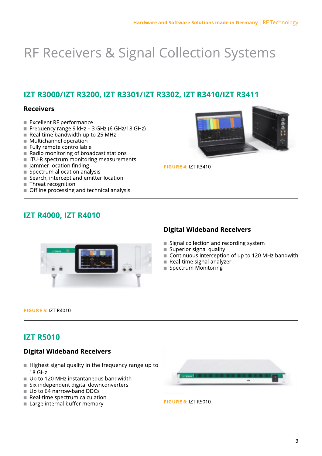## **RF Receivers & Signal Collection Systems**

## IZT R3000/IZT R3200, IZT R3301/IZT R3302, IZT R3410/IZT R3411

### **Receivers**

- Excellent RF performance
- Frequency range 9 kHz 3 GHz (6 GHz/18 GHz)
- Real-time bandwidth up to 25 MHz
- $\blacksquare$  Multichannel operation
- Fully remote controllable
- Radio monitoring of broadcast stations
- ITU-R spectrum monitoring measurements
- $\blacksquare$  Jammer location finding
- Spectrum allocation analysis
- Search, intercept and emitter location
- Threat recognition
- Offline processing and technical analysis



**FIGURE 4: IZT R3410** 

## **IZT R4000, IZT R4010**



## **Digital Wideband Receivers**

- Signal collection and recording system
- Superior signal quality
- Continuous interception of up to 120 MHz bandwith
- $\blacksquare$  Real-time signal analyzer
- Spectrum Monitoring

**FIGURE 5: IZT R4010** 

## **IZT R5010**

### **Digital Wideband Receivers**

- Highest signal quality in the frequency range up to 18 GHz
- Up to 120 MHz instantaneous bandwidth
- Six independent digital downconverters
- Up to 64 narrow-band DDCs
- Real-time spectrum calculation
- Large internal buffer memory



**FIGURE 6: 17T R5010**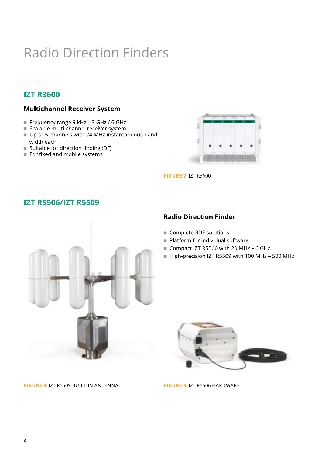## **Radio Direction Finders**

## **IZT R3600**

### **Multichannel Receiver System**

- Frequency range 9 kHz 3 GHz / 6 GHz
- Scalable multi-channel receiver system
- Up to 5 channels with 24 MHz instantaneous bandwidth each
- Suitable for direction finding (DF)
- For fixed and mobile systems



**FIGURE 7: IZT R3600** 

## **IZT R5506/IZT R5509**



## **Radio Direction Finder**

- Complete RDF solutions
- Platform for individual software
- Compact IZT R5506 with 20 MHz 6 GHz
- High-precision IZT R5509 with 100 MHz 500 MHz



FIGURE 9: IZT R5506 HARDWARE

FIGURE 8: IZT R5509 BUILT IN ANTENNA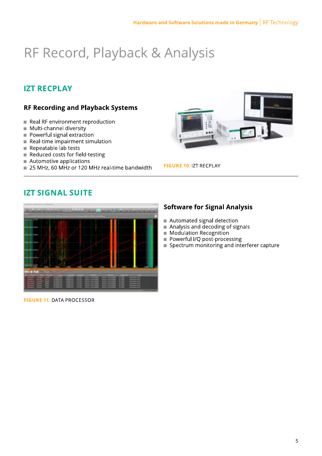## RF Record, Playback & Analysis

## **IZT RECPLAY**

## **RF Recording and Playback Systems**

- Real RF environment reproduction
- Multi-channel diversity
- Powerful signal extraction
- $R$ eal-time impairment simulation
- Repeatable lab tests
- Reduced costs for field-testing
- Automotive applications  $\overline{\phantom{a}}$
- 25 MHz, 60 MHz or 120 MHz real-time bandwidth



**FIGURE 10: IZT RECPLAY** 

## **IZT SIGNAL SUITE**



**FIGURE 11: DATA PROCESSOR** 

## **Software for Signal Analysis**

- Automated signal detection
- Analysis and decoding of signals
- Modulation Recognition
- Powerful I/Q post-processing
- Spectrum monitoring and interferer capture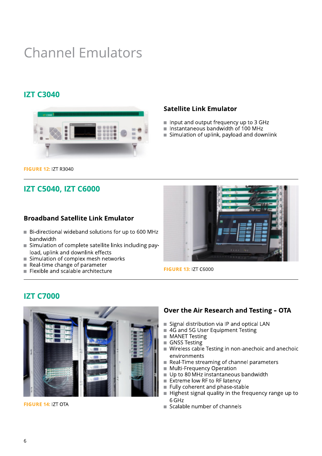## **Channel Emulators**

## **IZT C3040**



- and output frequency up to 3 GHz
- Instantaneous bandwidth of 100 MHz  $^\mathrm{2}$
- Simulation of uplink, payload and downlink

- ional wideband solutions for up to 600 MHz bandwidth
- FIGURE 12: IZT R3040<br>
IZT C5040, IZT C6000<br>
Broadband Satellite Link Emulator<br>
Bi-directional wideband solutions for up to 600<br>
bandwidth<br>
Simulation of complete satellite links including<br>
load, uplink and downlink effects Simulation of complete satellite links including payload, uplink and downlink effects
	- Simulation of complex mesh networks<br>Real-time change of parameter
	- ime change of parameter
	- $F$ lexible and scalable architectu



**FIGURE 13: IZT C6000** 

## **IZT C7000**



FIGURE 14: IZT OTA

- ribution via IP and optical LAN
- $4\bar{\mathsf{G}}$  and 5G User Equipment Testing  $^2$
- MANET Testing
- $GNSS$  Testing  $\dot{}$
- Wireless cable Testing in non-anechoic and anechoic environments environments<br>Real-Time streaming of channel parameters
- 
- Multi-Freguency Operation
- Up to 80 MHz instantaneous bandwidth
- Extreme low RF to RF latency
- Fully coherent and phase-stable  $\overline{\phantom{a}}$
- Highest signal quality in the frequency range up to 6<sub>GHz</sub>
- Scalable number of channels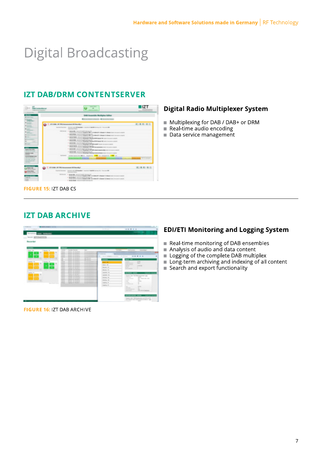## **Digital Broadcasting**

## **IZT DAB/DRM CONTENTSERVER**

| <b><i>ISBN 10405-005-0050</i></b><br>Lake & the case supporters.                                                                                                                                                                                                                                                                                                              |                                                                                                                                                                                                                                                                                                                                                                                               | <b>Scientification</b><br><b>POST CORPORA</b>                                                                                                                                                                                                                                                                                                                                                                                                                                                                                                                                                                                                                                                                                                         |                          |  |
|-------------------------------------------------------------------------------------------------------------------------------------------------------------------------------------------------------------------------------------------------------------------------------------------------------------------------------------------------------------------------------|-----------------------------------------------------------------------------------------------------------------------------------------------------------------------------------------------------------------------------------------------------------------------------------------------------------------------------------------------------------------------------------------------|-------------------------------------------------------------------------------------------------------------------------------------------------------------------------------------------------------------------------------------------------------------------------------------------------------------------------------------------------------------------------------------------------------------------------------------------------------------------------------------------------------------------------------------------------------------------------------------------------------------------------------------------------------------------------------------------------------------------------------------------------------|--------------------------|--|
| <b>By Horsey Street</b>                                                                                                                                                                                                                                                                                                                                                       |                                                                                                                                                                                                                                                                                                                                                                                               | DAR Ensemble Multiplex Gillian                                                                                                                                                                                                                                                                                                                                                                                                                                                                                                                                                                                                                                                                                                                        |                          |  |
| <b>STATES</b><br><b>Companies</b> I                                                                                                                                                                                                                                                                                                                                           |                                                                                                                                                                                                                                                                                                                                                                                               | $-8$<br>۰                                                                                                                                                                                                                                                                                                                                                                                                                                                                                                                                                                                                                                                                                                                                             |                          |  |
| <b>R. Lucian</b><br><b>Service Controllers</b><br><b>All Allegears</b>                                                                                                                                                                                                                                                                                                        | OF LISA OF THE ASSOCIATED RESIDENT                                                                                                                                                                                                                                                                                                                                                            |                                                                                                                                                                                                                                                                                                                                                                                                                                                                                                                                                                                                                                                                                                                                                       | 第3条 第3                   |  |
| <b>STATISTICS</b><br><b>Britannia</b>                                                                                                                                                                                                                                                                                                                                         | CALIFORNIA TRACERS - STATES AND IMPOUNDED. A STATES OF BARTIN COLORADO TELEVISION PR<br>---                                                                                                                                                                                                                                                                                                   |                                                                                                                                                                                                                                                                                                                                                                                                                                                                                                                                                                                                                                                                                                                                                       |                          |  |
| <b>At Lower</b><br><b>STATISTICS</b><br><b>By Commercial Commercial Co</b><br><b>Bit Suite Li</b><br>$\sim$<br><b>Billian</b><br><br><b>Series Council St.</b><br><b>And a lista</b><br><b>Scholarship</b><br><b>Bank College</b><br><b>Served Britain close</b><br>phone and street<br><b>COLLAGE AND THE</b><br><b>Contract Contract Contract</b><br><b>Service Control</b> | 100 00 000 11 days \$6. Seven by held I because \$1.<br>1 WHALE RAW COLLECT FAIRFORCES PO<br>1 Martin State - Lowell Additional Co.<br>1. Margin Billie, Group St Audith Serious, CO<br>4. Benedicture (property depth channels) (a)<br>1. Margin Baskup, Jackson St. Justific Sections, CO<br>1 MINNE BOX SETTLE DI ALEET GENERAL ED.<br>I develop here is now in builde the case in<br>---- | FORD STAY CASHIER MANAGER & MALE A LA MANAGER AND COMMAND CORPORATION & CASHIER<br>To an Arrest Company Company at 1987 1-2-4 \$2000-277-1-20 percent 10. Department to concern a subscript<br>FINDS BETO VITAINER MODERN & MODEL APPEARING OR SUITE SECURE EVIDENT.<br>from brink textions Meaning a factor \$750 based \$8 (even reciped a state).<br>The State States Making's MY 97 WAR 1 had to part a sent<br>Nings brook Completes Measuring a stift all does parameters make incoming a playing<br>They be no forecast Meaning a 277 BT simul-raned sadia bally to access stand.<br>Kinds britte Constraint Memberg in Modular International County International property<br>ASSESSMENT MAIN ASSESSED AND CLOSE CO. COMPANY OF THE CA<br>--- | <b>STATISTICS</b><br>--- |  |
| in family cars.<br><b><i>Commercial</i></b><br><b>Eliza chine</b><br><b>Allen Artists</b>                                                                                                                                                                                                                                                                                     | <b>IF 10 14 By P. 1751 Announcement AT Benefits I</b><br>Constitutions and Constitutions of the Constitution of the Constitution of the Constitution of the Constitution<br><b><i><u>STATISTICS</u></i></b>                                                                                                                                                                                   |                                                                                                                                                                                                                                                                                                                                                                                                                                                                                                                                                                                                                                                                                                                                                       | <b>第2支 数 集 数</b>         |  |
| <b>Lake at</b><br><b>COLLEGE</b>                                                                                                                                                                                                                                                                                                                                              | THE CHARACTER  In the main deadly contact the design manners and<br>1 Brancher, Scrank Heilerstein St.<br>1 NEW WARE TO LET THE REPORT OF THE                                                                                                                                                                                                                                                 | Three series furniture complete at MF 1.1.2 MM and CP 1-Magazine to Manage them the month is played<br>Anno terms Chairman Complete an MC 1-3-4 Million and 1-3 Millions III (Marcel 2010) for terms a critical                                                                                                                                                                                                                                                                                                                                                                                                                                                                                                                                       |                          |  |

### **Digital Radio Multiplexer System**

- Multiplexing for DAB / DAB+ or DRM
- Real-time audio encoding
- $\blacksquare$  Data service management

**FIGURE 15: IZT DAB CS** 

## **IZT DAB ARCHIVE**

| <b>SERVICE CONTROL</b><br><b>C. IT will serve</b><br>The contract of the design |                                                                                                                                                                                                                                                                                                                                                                                                                                                                                                        |                                                                    | <b>HINH</b>                  | $+ + + + +$                                                                                                                 | <b>COLLECT</b> |
|---------------------------------------------------------------------------------|--------------------------------------------------------------------------------------------------------------------------------------------------------------------------------------------------------------------------------------------------------------------------------------------------------------------------------------------------------------------------------------------------------------------------------------------------------------------------------------------------------|--------------------------------------------------------------------|------------------------------|-----------------------------------------------------------------------------------------------------------------------------|----------------|
|                                                                                 |                                                                                                                                                                                                                                                                                                                                                                                                                                                                                                        |                                                                    |                              |                                                                                                                             |                |
|                                                                                 |                                                                                                                                                                                                                                                                                                                                                                                                                                                                                                        |                                                                    |                              | months and                                                                                                                  |                |
|                                                                                 |                                                                                                                                                                                                                                                                                                                                                                                                                                                                                                        |                                                                    |                              |                                                                                                                             |                |
|                                                                                 |                                                                                                                                                                                                                                                                                                                                                                                                                                                                                                        |                                                                    |                              |                                                                                                                             |                |
| Recorder                                                                        |                                                                                                                                                                                                                                                                                                                                                                                                                                                                                                        |                                                                    |                              |                                                                                                                             |                |
|                                                                                 |                                                                                                                                                                                                                                                                                                                                                                                                                                                                                                        |                                                                    |                              |                                                                                                                             |                |
| --                                                                              | --                                                                                                                                                                                                                                                                                                                                                                                                                                                                                                     |                                                                    |                              |                                                                                                                             |                |
| <b>County Alley</b><br>Andrew City                                              | <b>Contract Constitute</b><br><b>Home</b>                                                                                                                                                                                                                                                                                                                                                                                                                                                              | <b>COLOR</b>                                                       |                              | commentary of<br>ted theme.<br>Class Concession                                                                             |                |
| ٠                                                                               | Minister, Marchael &<br><b>TOTAL</b>                                                                                                                                                                                                                                                                                                                                                                                                                                                                   | <b>RUSSIAN BARNERS AND</b>                                         |                              |                                                                                                                             |                |
| ٠                                                                               | Michigan Harvestown &<br><b>TOTAL</b>                                                                                                                                                                                                                                                                                                                                                                                                                                                                  | <b>NAMES AND RESERVES</b>                                          |                              |                                                                                                                             |                |
| ٠                                                                               | Marine, Mr. March 1.<br><b>Service</b>                                                                                                                                                                                                                                                                                                                                                                                                                                                                 | The property Product property in 1974.<br>It won't be recent to do | The commentary and the first | 三三<br>$\blacksquare$<br>$\blacksquare \quad \blacksquare$<br><b>R. L. St. Joseph</b>                                        |                |
|                                                                                 | $-$<br>Married Worldwide P.                                                                                                                                                                                                                                                                                                                                                                                                                                                                            |                                                                    |                              |                                                                                                                             |                |
|                                                                                 | Married To Allenge &                                                                                                                                                                                                                                                                                                                                                                                                                                                                                   | and all law.<br>All of the San                                     |                              | --                                                                                                                          |                |
|                                                                                 | Mandale Tel: Harvalle &<br>w.                                                                                                                                                                                                                                                                                                                                                                                                                                                                          | the second financial party in the                                  |                              |                                                                                                                             |                |
| <b>Margaret Corp.</b><br>Annaheim Ale                                           | Married W. Garrette L.<br><b>Service</b><br>Montes: Tel: Monete &<br><b>CONTRACTOR</b>                                                                                                                                                                                                                                                                                                                                                                                                                 | la conclusione a lot                                               | --                           | <b>START</b><br>$-1000$<br>-<br><b>CONTRACTOR</b>                                                                           |                |
| $\equiv$                                                                        | determine the companies in<br>$-$                                                                                                                                                                                                                                                                                                                                                                                                                                                                      | the comment them experience of the set                             | Algorith AM                  | <b>CONTRACTOR</b>                                                                                                           |                |
|                                                                                 | Morrison, Carl Harvard &<br>$\frac{1}{2} \left( \frac{1}{2} \right) \left( \frac{1}{2} \right) \left( \frac{1}{2} \right) \left( \frac{1}{2} \right) \left( \frac{1}{2} \right) \left( \frac{1}{2} \right) \left( \frac{1}{2} \right) \left( \frac{1}{2} \right) \left( \frac{1}{2} \right) \left( \frac{1}{2} \right) \left( \frac{1}{2} \right) \left( \frac{1}{2} \right) \left( \frac{1}{2} \right) \left( \frac{1}{2} \right) \left( \frac{1}{2} \right) \left( \frac{1}{2} \right) \left( \frac$ | <b>Witness McGrawton and</b>                                       |                              | 12.04.000<br><b>STATISTICS</b>                                                                                              |                |
|                                                                                 | $-1$<br>Augustus Art Hermann                                                                                                                                                                                                                                                                                                                                                                                                                                                                           | the company's acceptancy in the                                    | <b>Benedict Co.</b>          |                                                                                                                             |                |
|                                                                                 | <b>Northern Hermann</b><br><b>TOTAL</b>                                                                                                                                                                                                                                                                                                                                                                                                                                                                | to count-harmony in the                                            |                              |                                                                                                                             |                |
| <b>State State</b><br>$\overline{\phantom{a}}$                                  | <b>TOTAL</b><br>Manager Ster, Manager &                                                                                                                                                                                                                                                                                                                                                                                                                                                                | <b>NUMBER</b> OF                                                   | <b>Black of De</b>           |                                                                                                                             |                |
| <b>STEP 15</b>                                                                  | <b>Blues Printers &amp;</b><br><b>Torrigate</b>                                                                                                                                                                                                                                                                                                                                                                                                                                                        | The computer that the program of the Party                         | <b>Carolina Rd</b>           |                                                                                                                             |                |
|                                                                                 | Transferred Mr. Mercedes of<br><b>Service</b>                                                                                                                                                                                                                                                                                                                                                                                                                                                          | Scaled Advanced 1-1                                                |                              |                                                                                                                             |                |
|                                                                                 | <b>Send N. North</b>                                                                                                                                                                                                                                                                                                                                                                                                                                                                                   | Street Associate LA                                                | <b>TAXABLE FIX.</b>          | largest-start vaccinery description and                                                                                     |                |
|                                                                                 | torney of the search<br><b>Service</b>                                                                                                                                                                                                                                                                                                                                                                                                                                                                 | the present them expect to their                                   | months on                    | <b>SHOW</b><br><b>School</b>                                                                                                |                |
|                                                                                 | <b>Station St. Seconds</b><br><b>Time</b>                                                                                                                                                                                                                                                                                                                                                                                                                                                              | to constitutions of a look                                         |                              | ally classes with task-<br>-                                                                                                |                |
| the property of the form of the cold                                            | Starter, N. Houston<br>$\frac{1}{2} \left( \frac{1}{2} \right) \left( \frac{1}{2} \right) \left( \frac{1}{2} \right) \left( \frac{1}{2} \right) \left( \frac{1}{2} \right) \left( \frac{1}{2} \right) \left( \frac{1}{2} \right) \left( \frac{1}{2} \right) \left( \frac{1}{2} \right) \left( \frac{1}{2} \right) \left( \frac{1}{2} \right) \left( \frac{1}{2} \right) \left( \frac{1}{2} \right) \left( \frac{1}{2} \right) \left( \frac{1}{2} \right) \left( \frac{1}{2} \right) \left( \frac$      | the comment three expenses in the date                             | <b>Montreal</b> Afr          | ×.<br>-<br>$\frac{1}{2} \left( \frac{1}{2} \right) \left( \frac{1}{2} \right) \left( \frac{1}{2} \right)$<br><b>COMPANY</b> |                |
|                                                                                 | <b>Contract McChinesen</b><br>-                                                                                                                                                                                                                                                                                                                                                                                                                                                                        | is concern to an expect of the                                     | Anadora - Ali                | ٠<br>-                                                                                                                      |                |
|                                                                                 |                                                                                                                                                                                                                                                                                                                                                                                                                                                                                                        |                                                                    |                              | ۰<br><b>STATISTICS</b>                                                                                                      |                |
|                                                                                 |                                                                                                                                                                                                                                                                                                                                                                                                                                                                                                        |                                                                    | Josephus 20                  |                                                                                                                             |                |
|                                                                                 |                                                                                                                                                                                                                                                                                                                                                                                                                                                                                                        |                                                                    |                              | <b>STATE</b>                                                                                                                |                |
|                                                                                 |                                                                                                                                                                                                                                                                                                                                                                                                                                                                                                        |                                                                    |                              | ÷<br><b>SERVICES</b><br><b>Supervisory</b><br><b>SIL</b>                                                                    |                |
|                                                                                 |                                                                                                                                                                                                                                                                                                                                                                                                                                                                                                        |                                                                    |                              | <b>Secretary</b><br>---                                                                                                     |                |
|                                                                                 |                                                                                                                                                                                                                                                                                                                                                                                                                                                                                                        |                                                                    |                              |                                                                                                                             |                |
|                                                                                 |                                                                                                                                                                                                                                                                                                                                                                                                                                                                                                        |                                                                    |                              |                                                                                                                             |                |
|                                                                                 |                                                                                                                                                                                                                                                                                                                                                                                                                                                                                                        |                                                                    |                              | process process makes                                                                                                       |                |
|                                                                                 |                                                                                                                                                                                                                                                                                                                                                                                                                                                                                                        |                                                                    |                              | Seattle rated. Will be about an out to as \$10.                                                                             |                |
|                                                                                 |                                                                                                                                                                                                                                                                                                                                                                                                                                                                                                        |                                                                    |                              | \$1.00 percent state in advanced by the Malera's state                                                                      |                |
|                                                                                 |                                                                                                                                                                                                                                                                                                                                                                                                                                                                                                        |                                                                    |                              | <b>SALE</b><br>Manager of Contractor                                                                                        |                |

FIGURE 16: IZT DAB ARCHIVE

## **EDI/ETI Monitoring and Logging System**

- Real-time monitoring of DAB ensembles<br>Analysis of audio and data content
- 
- Logging of the complete DAB multiplex
- Long-term archiving and indexing of all content
- Search and export functionality